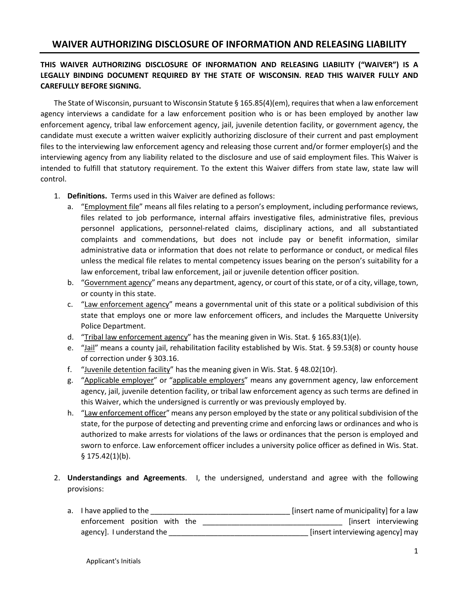## **WAIVER AUTHORIZING DISCLOSURE OF INFORMATION AND RELEASING LIABILITY**

## **THIS WAIVER AUTHORIZING DISCLOSURE OF INFORMATION AND RELEASING LIABILITY ("WAIVER") IS A LEGALLY BINDING DOCUMENT REQUIRED BY THE STATE OF WISCONSIN. READ THIS WAIVER FULLY AND CAREFULLY BEFORE SIGNING.**

The State of Wisconsin, pursuant to Wisconsin Statute § 165.85(4)(em), requires that when a law enforcement agency interviews a candidate for a law enforcement position who is or has been employed by another law enforcement agency, tribal law enforcement agency, jail, juvenile detention facility, or government agency, the candidate must execute a written waiver explicitly authorizing disclosure of their current and past employment files to the interviewing law enforcement agency and releasing those current and/or former employer(s) and the interviewing agency from any liability related to the disclosure and use of said employment files. This Waiver is intended to fulfill that statutory requirement. To the extent this Waiver differs from state law, state law will control.

- 1. **Definitions.** Terms used in this Waiver are defined as follows:
	- a. "Employment file" means all files relating to a person's employment, including performance reviews, files related to job performance, internal affairs investigative files, administrative files, previous personnel applications, personnel-related claims, disciplinary actions, and all substantiated complaints and commendations, but does not include pay or benefit information, similar administrative data or information that does not relate to performance or conduct, or medical files unless the medical file relates to mental competency issues bearing on the person's suitability for a law enforcement, tribal law enforcement, jail or juvenile detention officer position.
	- b. "Government agency" means any department, agency, or court of this state, or of a city, village, town, or county in this state.
	- c. "Law enforcement agency" means a governmental unit of this state or a political subdivision of this state that employs one or more law enforcement officers, and includes the Marquette University Police Department.
	- d. "Tribal law enforcement agency" has the meaning given in Wis. Stat.  $\S 165.83(1)(e)$ .
	- e. "Jail" means a county jail, rehabilitation facility established by Wis. Stat. § 59.53(8) or county house of correction under § 303.16.
	- f. "Juvenile detention facility" has the meaning given in Wis. Stat. § 48.02(10r).
	- g. "Applicable employer" or "applicable employers" means any government agency, law enforcement agency, jail, juvenile detention facility, or tribal law enforcement agency as such terms are defined in this Waiver, which the undersigned is currently or was previously employed by.
	- h. "Law enforcement officer" means any person employed by the state or any political subdivision of the state, for the purpose of detecting and preventing crime and enforcing laws or ordinances and who is authorized to make arrests for violations of the laws or ordinances that the person is employed and sworn to enforce. Law enforcement officer includes a university police officer as defined in Wis. Stat. § 175.42(1)(b).
- 2. **Understandings and Agreements**. I, the undersigned, understand and agree with the following provisions:
	- a. I have applied to the **EXECUTE 12** and the set of municipality] for a law enforcement position with the \_\_\_\_\_\_\_\_\_\_\_\_\_\_\_\_\_\_\_\_\_\_\_\_\_\_\_\_\_\_\_\_\_\_ [insert interviewing agency]. I understand the \_\_\_\_\_\_\_\_\_\_\_\_\_\_\_\_\_\_\_\_\_\_\_\_\_\_\_\_\_\_\_\_\_\_ [insert interviewing agency] may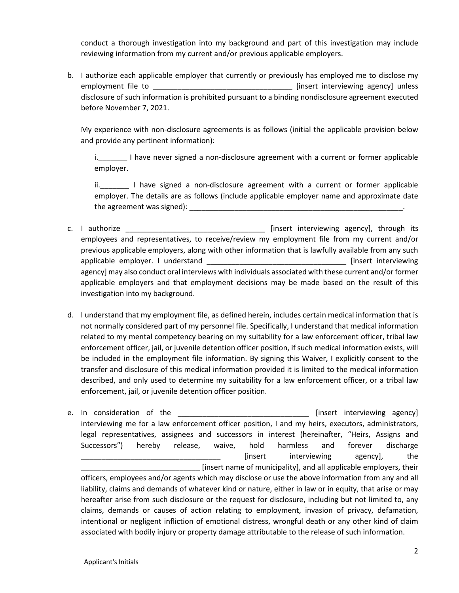conduct a thorough investigation into my background and part of this investigation may include reviewing information from my current and/or previous applicable employers.

b. I authorize each applicable employer that currently or previously has employed me to disclose my employment file to **EXECUTE 10** [insert interviewing agency] unless disclosure of such information is prohibited pursuant to a binding nondisclosure agreement executed before November 7, 2021.

My experience with non-disclosure agreements is as follows (initial the applicable provision below and provide any pertinent information):

i. I have never signed a non-disclosure agreement with a current or former applicable employer.

ii. I have signed a non-disclosure agreement with a current or former applicable employer. The details are as follows (include applicable employer name and approximate date the agreement was signed):  $\blacksquare$ 

- c. I authorize \_\_\_\_\_\_\_\_\_\_\_\_\_\_\_\_\_\_\_\_\_\_\_\_\_\_\_\_\_\_\_\_\_\_ [insert interviewing agency], through its employees and representatives, to receive/review my employment file from my current and/or previous applicable employers, along with other information that is lawfully available from any such applicable employer. I understand \_\_\_\_\_\_\_\_\_\_\_\_\_\_\_\_\_\_\_\_\_\_\_\_\_\_\_\_\_\_\_\_\_\_ [insert interviewing agency] may also conduct oral interviews with individuals associated with these current and/or former applicable employers and that employment decisions may be made based on the result of this investigation into my background.
- d. I understand that my employment file, as defined herein, includes certain medical information that is not normally considered part of my personnel file. Specifically, I understand that medical information related to my mental competency bearing on my suitability for a law enforcement officer, tribal law enforcement officer, jail, or juvenile detention officer position, if such medical information exists, will be included in the employment file information. By signing this Waiver, I explicitly consent to the transfer and disclosure of this medical information provided it is limited to the medical information described, and only used to determine my suitability for a law enforcement officer, or a tribal law enforcement, jail, or juvenile detention officer position.
- e. In consideration of the example and the set of the set of the set of the set of the set of the set of the set of the set of the set of the set of the set of the set of the set of the set of the set of the set of the set interviewing me for a law enforcement officer position, I and my heirs, executors, administrators, legal representatives, assignees and successors in interest (hereinafter, "Heirs, Assigns and Successors") hereby release, waive, hold harmless and forever discharge [insert interviewing agency], the \_\_\_\_\_\_\_\_\_\_\_\_\_\_\_\_\_\_\_\_\_\_\_\_\_\_\_\_\_ [insert name of municipality], and all applicable employers, their officers, employees and/or agents which may disclose or use the above information from any and all liability, claims and demands of whatever kind or nature, either in law or in equity, that arise or may hereafter arise from such disclosure or the request for disclosure, including but not limited to, any claims, demands or causes of action relating to employment, invasion of privacy, defamation, intentional or negligent infliction of emotional distress, wrongful death or any other kind of claim associated with bodily injury or property damage attributable to the release of such information.